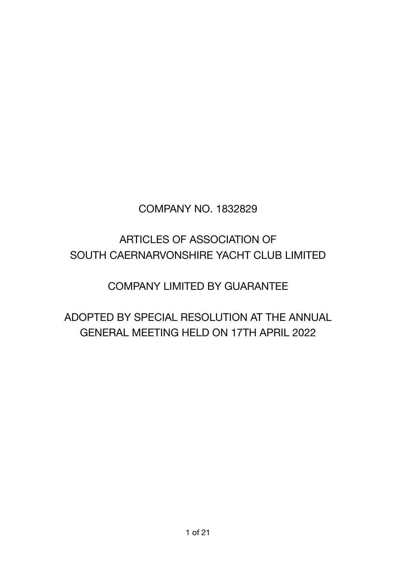# COMPANY NO. 1832829

# ARTICLES OF ASSOCIATION OF SOUTH CAERNARVONSHIRE YACHT CLUB LIMITED

# COMPANY LIMITED BY GUARANTEE

# ADOPTED BY SPECIAL RESOLUTION AT THE ANNUAL GENERAL MEETING HELD ON 17TH APRIL 2022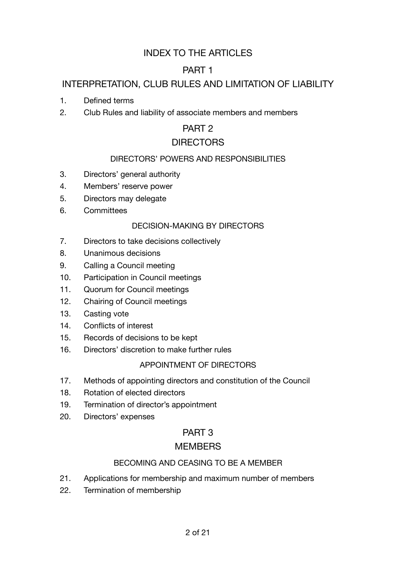# INDEX TO THE ARTICLES

# PART 1

# INTERPRETATION, CLUB RULES AND LIMITATION OF LIABILITY

- 1. Defined terms
- 2. Club Rules and liability of associate members and members

# PART<sub>2</sub>

# **DIRECTORS**

# DIRECTORS' POWERS AND RESPONSIBILITIES

- 3. Directors' general authority
- 4. Members' reserve power
- 5. Directors may delegate
- 6. Committees

### DECISION-MAKING BY DIRECTORS

- 7. Directors to take decisions collectively
- 8. Unanimous decisions
- 9. Calling a Council meeting
- 10. Participation in Council meetings
- 11. Quorum for Council meetings
- 12. Chairing of Council meetings
- 13. Casting vote
- 14. Conflicts of interest
- 15. Records of decisions to be kept
- 16. Directors' discretion to make further rules

### APPOINTMENT OF DIRECTORS

- 17. Methods of appointing directors and constitution of the Council
- 18. Rotation of elected directors
- 19. Termination of director's appointment
- 20. Directors' expenses

# PART 3

# **MEMBERS**

# BECOMING AND CEASING TO BE A MEMBER

- 21. Applications for membership and maximum number of members
- 22. Termination of membership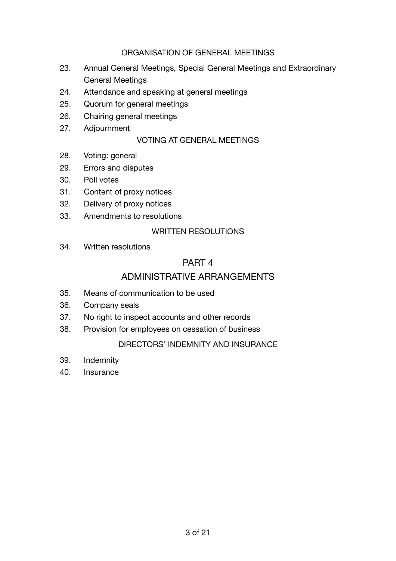### ORGANISATION OF GENERAL MEETINGS

- 23. Annual General Meetings, Special General Meetings and Extraordinary General Meetings
- 24. Attendance and speaking at general meetings
- 25. Quorum for general meetings
- 26. Chairing general meetings
- 27. Adjournment

#### VOTING AT GENERAL MEETINGS

- 28. Voting: general
- 29. Errors and disputes
- 30. Poll votes
- 31. Content of proxy notices
- 32. Delivery of proxy notices
- 33. Amendments to resolutions

#### WRITTEN RESOLUTIONS

34. Written resolutions

# PART 4

# ADMINISTRATIVE ARRANGEMENTS

- 35. Means of communication to be used
- 36. Company seals
- 37. No right to inspect accounts and other records
- 38. Provision for employees on cessation of business

#### DIRECTORS' INDEMNITY AND INSURANCE

- 39. Indemnity
- 40. Insurance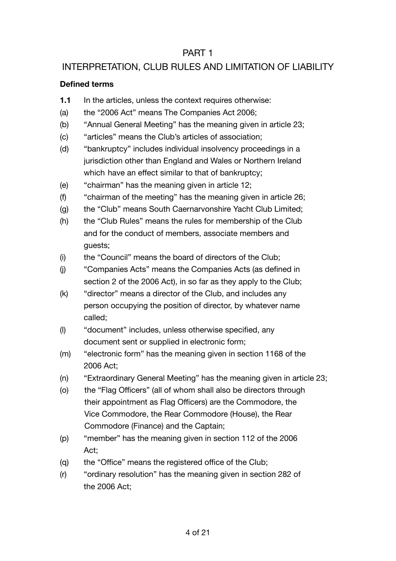# PART 1

# INTERPRETATION, CLUB RULES AND LIMITATION OF LIABII ITY

### **Defined terms**

- **1.1** In the articles, unless the context requires otherwise:
- (a) the "2006 Act" means The Companies Act 2006;
- (b) "Annual General Meeting" has the meaning given in article 23;
- (c) "articles" means the Club's articles of association;
- (d) "bankruptcy" includes individual insolvency proceedings in a jurisdiction other than England and Wales or Northern Ireland which have an effect similar to that of bankruptcy;
- (e) "chairman" has the meaning given in article 12;
- (f) "chairman of the meeting" has the meaning given in article 26;
- (g) the "Club" means South Caernarvonshire Yacht Club Limited;
- (h) the "Club Rules" means the rules for membership of the Club and for the conduct of members, associate members and guests;
- (i) the "Council" means the board of directors of the Club;
- (j) "Companies Acts" means the Companies Acts (as defined in section 2 of the 2006 Act), in so far as they apply to the Club;
- (k) "director" means a director of the Club, and includes any person occupying the position of director, by whatever name called;
- (l) "document" includes, unless otherwise specified, any document sent or supplied in electronic form;
- (m) "electronic form" has the meaning given in section 1168 of the 2006 Act;
- (n) "Extraordinary General Meeting" has the meaning given in article 23;
- (o) the "Flag Officers" (all of whom shall also be directors through their appointment as Flag Officers) are the Commodore, the Vice Commodore, the Rear Commodore (House), the Rear Commodore (Finance) and the Captain;
- (p) "member" has the meaning given in section 112 of the 2006 Act;
- (q) the "Office" means the registered office of the Club;
- (r) "ordinary resolution" has the meaning given in section 282 of the 2006 Act;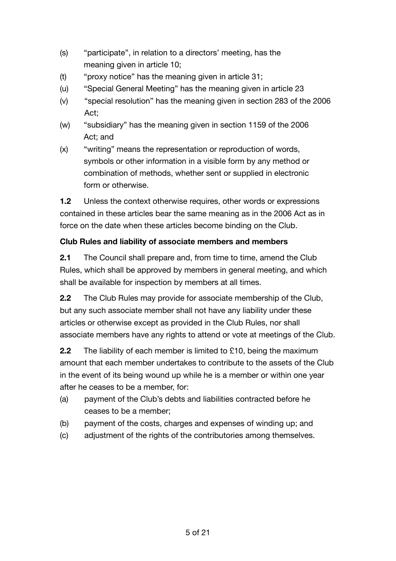- (s) "participate", in relation to a directors' meeting, has the meaning given in article 10;
- (t) "proxy notice" has the meaning given in article 31;
- (u) "Special General Meeting" has the meaning given in article 23
- (v) "special resolution" has the meaning given in section 283 of the 2006 Act;
- (w) "subsidiary" has the meaning given in section 1159 of the 2006 Act; and
- (x) "writing" means the representation or reproduction of words, symbols or other information in a visible form by any method or combination of methods, whether sent or supplied in electronic form or otherwise.

**1.2** Unless the context otherwise requires, other words or expressions contained in these articles bear the same meaning as in the 2006 Act as in force on the date when these articles become binding on the Club.

# **Club Rules and liability of associate members and members**

**2.1** The Council shall prepare and, from time to time, amend the Club Rules, which shall be approved by members in general meeting, and which shall be available for inspection by members at all times.

**2.2** The Club Rules may provide for associate membership of the Club, but any such associate member shall not have any liability under these articles or otherwise except as provided in the Club Rules, nor shall associate members have any rights to attend or vote at meetings of the Club.

**2.2** The liability of each member is limited to £10, being the maximum amount that each member undertakes to contribute to the assets of the Club in the event of its being wound up while he is a member or within one year after he ceases to be a member, for:

- (a) payment of the Club's debts and liabilities contracted before he ceases to be a member;
- (b) payment of the costs, charges and expenses of winding up; and
- (c) adjustment of the rights of the contributories among themselves.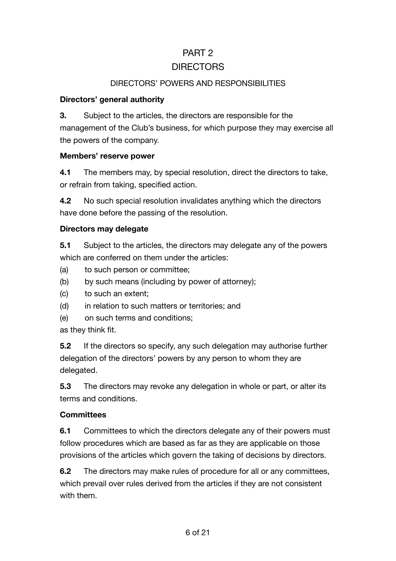# PART 2 **DIRECTORS**

### DIRECTORS' POWERS AND RESPONSIBILITIES

#### **Directors' general authority**

**3.** Subject to the articles, the directors are responsible for the

management of the Club's business, for which purpose they may exercise all the powers of the company.

#### **Members' reserve power**

**4.1** The members may, by special resolution, direct the directors to take, or refrain from taking, specified action.

**4.2** No such special resolution invalidates anything which the directors have done before the passing of the resolution.

### **Directors may delegate**

**5.1** Subject to the articles, the directors may delegate any of the powers which are conferred on them under the articles:

- (a) to such person or committee;
- (b) by such means (including by power of attorney);
- (c) to such an extent;
- (d) in relation to such matters or territories; and
- (e) on such terms and conditions;

as they think fit.

**5.2** If the directors so specify, any such delegation may authorise further delegation of the directors' powers by any person to whom they are delegated.

**5.3** The directors may revoke any delegation in whole or part, or alter its terms and conditions.

### **Committees**

**6.1** Committees to which the directors delegate any of their powers must follow procedures which are based as far as they are applicable on those provisions of the articles which govern the taking of decisions by directors.

**6.2** The directors may make rules of procedure for all or any committees, which prevail over rules derived from the articles if they are not consistent with them.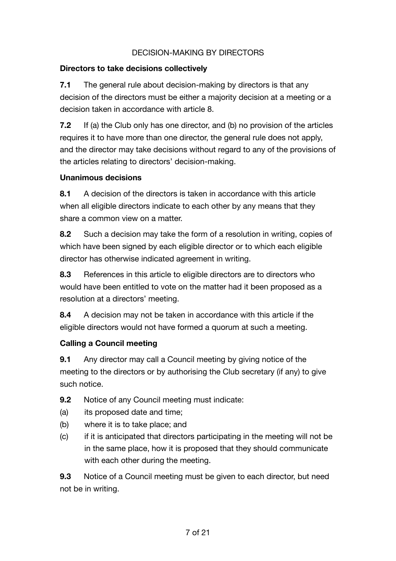# DECISION-MAKING BY DIRECTORS

### **Directors to take decisions collectively**

**7.1** The general rule about decision-making by directors is that any decision of the directors must be either a majority decision at a meeting or a decision taken in accordance with article 8.

**7.2** If (a) the Club only has one director, and (b) no provision of the articles requires it to have more than one director, the general rule does not apply, and the director may take decisions without regard to any of the provisions of the articles relating to directors' decision-making.

### **Unanimous decisions**

**8.1** A decision of the directors is taken in accordance with this article when all eligible directors indicate to each other by any means that they share a common view on a matter.

**8.2** Such a decision may take the form of a resolution in writing, copies of which have been signed by each eligible director or to which each eligible director has otherwise indicated agreement in writing.

**8.3** References in this article to eligible directors are to directors who would have been entitled to vote on the matter had it been proposed as a resolution at a directors' meeting.

**8.4** A decision may not be taken in accordance with this article if the eligible directors would not have formed a quorum at such a meeting.

# **Calling a Council meeting**

**9.1** Any director may call a Council meeting by giving notice of the meeting to the directors or by authorising the Club secretary (if any) to give such notice.

**9.2** Notice of any Council meeting must indicate:

- (a) its proposed date and time;
- (b) where it is to take place; and
- (c) if it is anticipated that directors participating in the meeting will not be in the same place, how it is proposed that they should communicate with each other during the meeting.

**9.3** Notice of a Council meeting must be given to each director, but need not be in writing.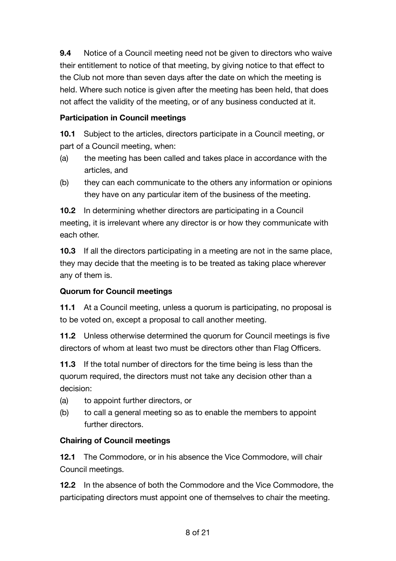**9.4** Notice of a Council meeting need not be given to directors who waive their entitlement to notice of that meeting, by giving notice to that effect to the Club not more than seven days after the date on which the meeting is held. Where such notice is given after the meeting has been held, that does not affect the validity of the meeting, or of any business conducted at it.

# **Participation in Council meetings**

**10.1** Subject to the articles, directors participate in a Council meeting, or part of a Council meeting, when:

- (a) the meeting has been called and takes place in accordance with the articles, and
- (b) they can each communicate to the others any information or opinions they have on any particular item of the business of the meeting.

**10.2** In determining whether directors are participating in a Council meeting, it is irrelevant where any director is or how they communicate with each other.

**10.3** If all the directors participating in a meeting are not in the same place, they may decide that the meeting is to be treated as taking place wherever any of them is.

# **Quorum for Council meetings**

**11.1** At a Council meeting, unless a quorum is participating, no proposal is to be voted on, except a proposal to call another meeting.

**11.2** Unless otherwise determined the quorum for Council meetings is five directors of whom at least two must be directors other than Flag Officers.

**11.3** If the total number of directors for the time being is less than the quorum required, the directors must not take any decision other than a decision:

- (a) to appoint further directors, or
- (b) to call a general meeting so as to enable the members to appoint further directors.

# **Chairing of Council meetings**

**12.1** The Commodore, or in his absence the Vice Commodore, will chair Council meetings.

**12.2** In the absence of both the Commodore and the Vice Commodore, the participating directors must appoint one of themselves to chair the meeting.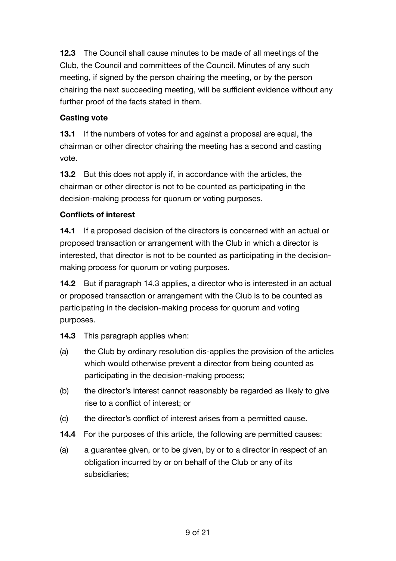**12.3** The Council shall cause minutes to be made of all meetings of the Club, the Council and committees of the Council. Minutes of any such meeting, if signed by the person chairing the meeting, or by the person chairing the next succeeding meeting, will be sufficient evidence without any further proof of the facts stated in them.

# **Casting vote**

**13.1** If the numbers of votes for and against a proposal are equal, the chairman or other director chairing the meeting has a second and casting vote.

**13.2** But this does not apply if, in accordance with the articles, the chairman or other director is not to be counted as participating in the decision-making process for quorum or voting purposes.

# **Conflicts of interest**

**14.1** If a proposed decision of the directors is concerned with an actual or proposed transaction or arrangement with the Club in which a director is interested, that director is not to be counted as participating in the decisionmaking process for quorum or voting purposes.

**14.2** But if paragraph 14.3 applies, a director who is interested in an actual or proposed transaction or arrangement with the Club is to be counted as participating in the decision-making process for quorum and voting purposes.

- **14.3** This paragraph applies when:
- (a) the Club by ordinary resolution dis-applies the provision of the articles which would otherwise prevent a director from being counted as participating in the decision-making process;
- (b) the director's interest cannot reasonably be regarded as likely to give rise to a conflict of interest; or
- (c) the director's conflict of interest arises from a permitted cause.
- **14.4** For the purposes of this article, the following are permitted causes:
- (a) a guarantee given, or to be given, by or to a director in respect of an obligation incurred by or on behalf of the Club or any of its subsidiaries;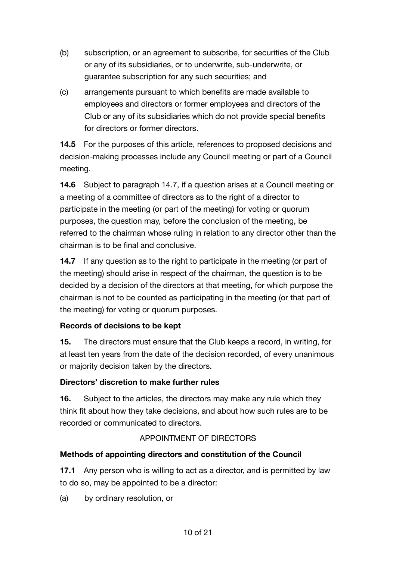- (b) subscription, or an agreement to subscribe, for securities of the Club or any of its subsidiaries, or to underwrite, sub-underwrite, or guarantee subscription for any such securities; and
- (c) arrangements pursuant to which benefits are made available to employees and directors or former employees and directors of the Club or any of its subsidiaries which do not provide special benefits for directors or former directors.

**14.5** For the purposes of this article, references to proposed decisions and decision-making processes include any Council meeting or part of a Council meeting.

**14.6** Subject to paragraph 14.7, if a question arises at a Council meeting or a meeting of a committee of directors as to the right of a director to participate in the meeting (or part of the meeting) for voting or quorum purposes, the question may, before the conclusion of the meeting, be referred to the chairman whose ruling in relation to any director other than the chairman is to be final and conclusive.

**14.7** If any question as to the right to participate in the meeting (or part of the meeting) should arise in respect of the chairman, the question is to be decided by a decision of the directors at that meeting, for which purpose the chairman is not to be counted as participating in the meeting (or that part of the meeting) for voting or quorum purposes.

# **Records of decisions to be kept**

**15.** The directors must ensure that the Club keeps a record, in writing, for at least ten years from the date of the decision recorded, of every unanimous or majority decision taken by the directors.

# **Directors' discretion to make further rules**

**16.** Subject to the articles, the directors may make any rule which they think fit about how they take decisions, and about how such rules are to be recorded or communicated to directors.

# APPOINTMENT OF DIRECTORS

# **Methods of appointing directors and constitution of the Council**

**17.1** Any person who is willing to act as a director, and is permitted by law to do so, may be appointed to be a director:

(a) by ordinary resolution, or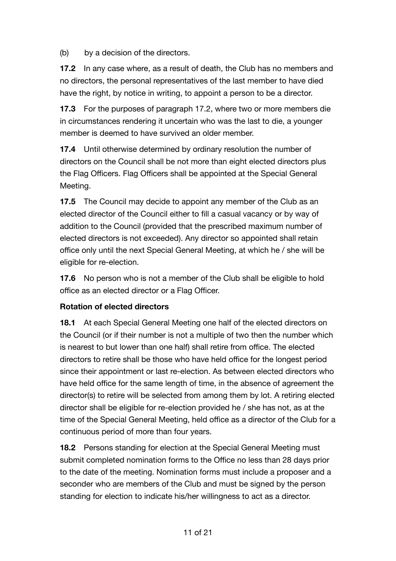(b) by a decision of the directors.

**17.2** In any case where, as a result of death, the Club has no members and no directors, the personal representatives of the last member to have died have the right, by notice in writing, to appoint a person to be a director.

**17.3** For the purposes of paragraph 17.2, where two or more members die in circumstances rendering it uncertain who was the last to die, a younger member is deemed to have survived an older member.

**17.4** Until otherwise determined by ordinary resolution the number of directors on the Council shall be not more than eight elected directors plus the Flag Officers. Flag Officers shall be appointed at the Special General Meeting.

**17.5** The Council may decide to appoint any member of the Club as an elected director of the Council either to fill a casual vacancy or by way of addition to the Council (provided that the prescribed maximum number of elected directors is not exceeded). Any director so appointed shall retain office only until the next Special General Meeting, at which he / she will be eligible for re-election.

**17.6** No person who is not a member of the Club shall be eligible to hold office as an elected director or a Flag Officer.

### **Rotation of elected directors**

**18.1** At each Special General Meeting one half of the elected directors on the Council (or if their number is not a multiple of two then the number which is nearest to but lower than one half) shall retire from office. The elected directors to retire shall be those who have held office for the longest period since their appointment or last re-election. As between elected directors who have held office for the same length of time, in the absence of agreement the director(s) to retire will be selected from among them by lot. A retiring elected director shall be eligible for re-election provided he / she has not, as at the time of the Special General Meeting, held office as a director of the Club for a continuous period of more than four years.

**18.2** Persons standing for election at the Special General Meeting must submit completed nomination forms to the Office no less than 28 days prior to the date of the meeting. Nomination forms must include a proposer and a seconder who are members of the Club and must be signed by the person standing for election to indicate his/her willingness to act as a director.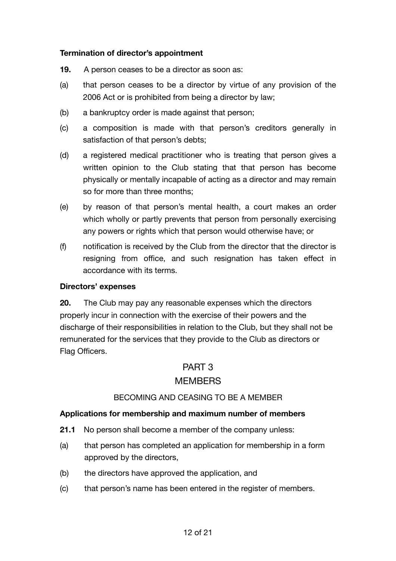#### **Termination of director's appointment**

- **19.** A person ceases to be a director as soon as:
- (a) that person ceases to be a director by virtue of any provision of the 2006 Act or is prohibited from being a director by law;
- (b) a bankruptcy order is made against that person;
- (c) a composition is made with that person's creditors generally in satisfaction of that person's debts;
- (d) a registered medical practitioner who is treating that person gives a written opinion to the Club stating that that person has become physically or mentally incapable of acting as a director and may remain so for more than three months;
- (e) by reason of that person's mental health, a court makes an order which wholly or partly prevents that person from personally exercising any powers or rights which that person would otherwise have; or
- (f) notification is received by the Club from the director that the director is resigning from office, and such resignation has taken effect in accordance with its terms.

#### **Directors' expenses**

**20.** The Club may pay any reasonable expenses which the directors properly incur in connection with the exercise of their powers and the discharge of their responsibilities in relation to the Club, but they shall not be remunerated for the services that they provide to the Club as directors or Flag Officers.

# PART 3

# **MEMBERS**

#### BECOMING AND CEASING TO BE A MEMBER

#### **Applications for membership and maximum number of members**

- **21.1** No person shall become a member of the company unless:
- (a) that person has completed an application for membership in a form approved by the directors,
- (b) the directors have approved the application, and
- (c) that person's name has been entered in the register of members.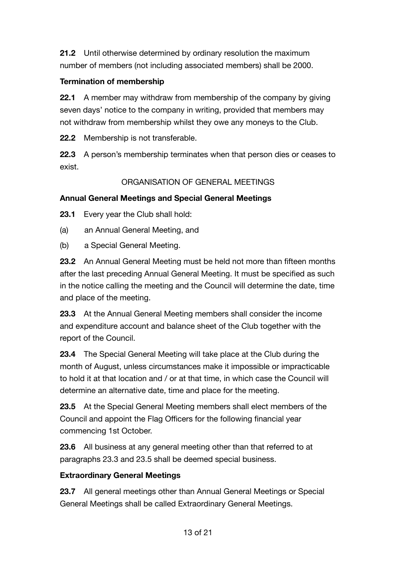**21.2** Until otherwise determined by ordinary resolution the maximum number of members (not including associated members) shall be 2000.

# **Termination of membership**

**22.1** A member may withdraw from membership of the company by giving seven days' notice to the company in writing, provided that members may not withdraw from membership whilst they owe any moneys to the Club.

**22.2** Membership is not transferable.

**22.3** A person's membership terminates when that person dies or ceases to exist.

# ORGANISATION OF GENERAL MEETINGS

# **Annual General Meetings and Special General Meetings**

**23.1** Every year the Club shall hold:

- (a) an Annual General Meeting, and
- (b) a Special General Meeting.

**23.2** An Annual General Meeting must be held not more than fifteen months after the last preceding Annual General Meeting. It must be specified as such in the notice calling the meeting and the Council will determine the date, time and place of the meeting.

**23.3** At the Annual General Meeting members shall consider the income and expenditure account and balance sheet of the Club together with the report of the Council.

**23.4** The Special General Meeting will take place at the Club during the month of August, unless circumstances make it impossible or impracticable to hold it at that location and / or at that time, in which case the Council will determine an alternative date, time and place for the meeting.

**23.5** At the Special General Meeting members shall elect members of the Council and appoint the Flag Officers for the following financial year commencing 1st October.

**23.6** All business at any general meeting other than that referred to at paragraphs 23.3 and 23.5 shall be deemed special business.

# **Extraordinary General Meetings**

**23.7** All general meetings other than Annual General Meetings or Special General Meetings shall be called Extraordinary General Meetings.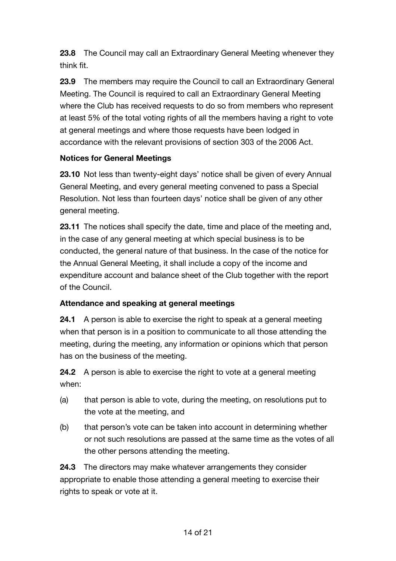**23.8** The Council may call an Extraordinary General Meeting whenever they think fit.

**23.9** The members may require the Council to call an Extraordinary General Meeting. The Council is required to call an Extraordinary General Meeting where the Club has received requests to do so from members who represent at least 5% of the total voting rights of all the members having a right to vote at general meetings and where those requests have been lodged in accordance with the relevant provisions of section 303 of the 2006 Act.

### **Notices for General Meetings**

**23.10** Not less than twenty-eight days' notice shall be given of every Annual General Meeting, and every general meeting convened to pass a Special Resolution. Not less than fourteen days' notice shall be given of any other general meeting.

**23.11** The notices shall specify the date, time and place of the meeting and, in the case of any general meeting at which special business is to be conducted, the general nature of that business. In the case of the notice for the Annual General Meeting, it shall include a copy of the income and expenditure account and balance sheet of the Club together with the report of the Council.

# **Attendance and speaking at general meetings**

**24.1** A person is able to exercise the right to speak at a general meeting when that person is in a position to communicate to all those attending the meeting, during the meeting, any information or opinions which that person has on the business of the meeting.

**24.2** A person is able to exercise the right to vote at a general meeting when:

- (a) that person is able to vote, during the meeting, on resolutions put to the vote at the meeting, and
- (b) that person's vote can be taken into account in determining whether or not such resolutions are passed at the same time as the votes of all the other persons attending the meeting.

**24.3** The directors may make whatever arrangements they consider appropriate to enable those attending a general meeting to exercise their rights to speak or vote at it.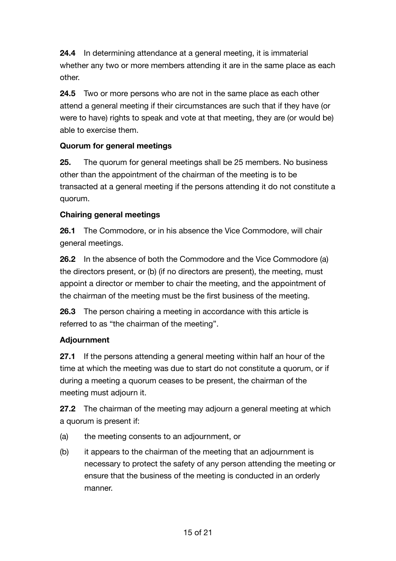**24.4** In determining attendance at a general meeting, it is immaterial whether any two or more members attending it are in the same place as each other.

**24.5** Two or more persons who are not in the same place as each other attend a general meeting if their circumstances are such that if they have (or were to have) rights to speak and vote at that meeting, they are (or would be) able to exercise them.

# **Quorum for general meetings**

**25.** The quorum for general meetings shall be 25 members. No business other than the appointment of the chairman of the meeting is to be transacted at a general meeting if the persons attending it do not constitute a quorum.

# **Chairing general meetings**

**26.1** The Commodore, or in his absence the Vice Commodore, will chair general meetings.

**26.2** In the absence of both the Commodore and the Vice Commodore (a) the directors present, or (b) (if no directors are present), the meeting, must appoint a director or member to chair the meeting, and the appointment of the chairman of the meeting must be the first business of the meeting.

**26.3** The person chairing a meeting in accordance with this article is referred to as "the chairman of the meeting".

# **Adjournment**

**27.1** If the persons attending a general meeting within half an hour of the time at which the meeting was due to start do not constitute a quorum, or if during a meeting a quorum ceases to be present, the chairman of the meeting must adjourn it.

**27.2** The chairman of the meeting may adjourn a general meeting at which a quorum is present if:

- (a) the meeting consents to an adjournment, or
- (b) it appears to the chairman of the meeting that an adjournment is necessary to protect the safety of any person attending the meeting or ensure that the business of the meeting is conducted in an orderly manner.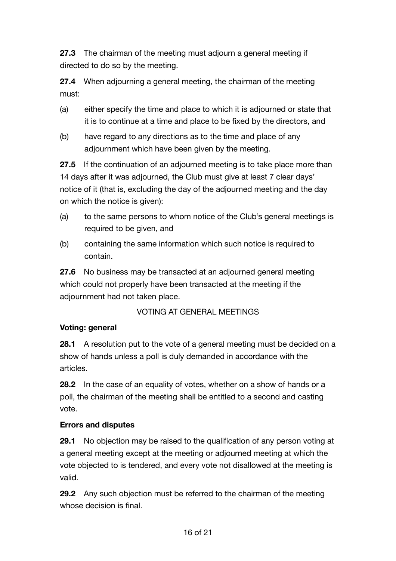**27.3** The chairman of the meeting must adjourn a general meeting if directed to do so by the meeting.

**27.4** When adjourning a general meeting, the chairman of the meeting must:

- (a) either specify the time and place to which it is adjourned or state that it is to continue at a time and place to be fixed by the directors, and
- (b) have regard to any directions as to the time and place of any adjournment which have been given by the meeting.

**27.5** If the continuation of an adjourned meeting is to take place more than 14 days after it was adjourned, the Club must give at least 7 clear days' notice of it (that is, excluding the day of the adjourned meeting and the day on which the notice is given):

- (a) to the same persons to whom notice of the Club's general meetings is required to be given, and
- (b) containing the same information which such notice is required to contain.

**27.6** No business may be transacted at an adjourned general meeting which could not properly have been transacted at the meeting if the adjournment had not taken place.

# VOTING AT GENERAL MEETINGS

### **Voting: general**

**28.1** A resolution put to the vote of a general meeting must be decided on a show of hands unless a poll is duly demanded in accordance with the articles.

**28.2** In the case of an equality of votes, whether on a show of hands or a poll, the chairman of the meeting shall be entitled to a second and casting vote.

### **Errors and disputes**

**29.1** No objection may be raised to the qualification of any person voting at a general meeting except at the meeting or adjourned meeting at which the vote objected to is tendered, and every vote not disallowed at the meeting is valid.

**29.2** Any such objection must be referred to the chairman of the meeting whose decision is final.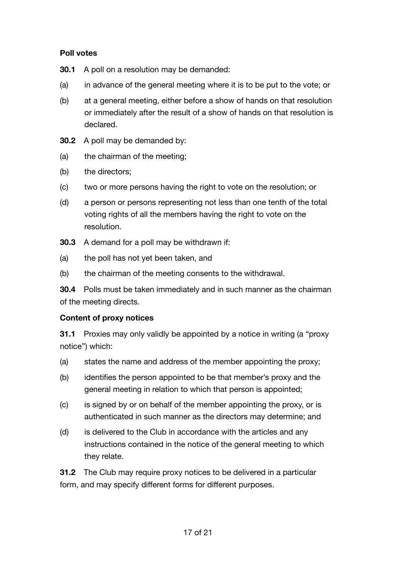### **Poll votes**

- **30.1** A poll on a resolution may be demanded:
- (a) in advance of the general meeting where it is to be put to the vote; or
- (b) at a general meeting, either before a show of hands on that resolution or immediately after the result of a show of hands on that resolution is declared.
- **30.2** A poll may be demanded by:
- (a) the chairman of the meeting;
- (b) the directors;
- (c) two or more persons having the right to vote on the resolution; or
- (d) a person or persons representing not less than one tenth of the total voting rights of all the members having the right to vote on the resolution.
- **30.3** A demand for a poll may be withdrawn if:
- (a) the poll has not yet been taken, and
- (b) the chairman of the meeting consents to the withdrawal.

**30.4** Polls must be taken immediately and in such manner as the chairman of the meeting directs.

#### **Content of proxy notices**

**31.1** Proxies may only validly be appointed by a notice in writing (a "proxy notice") which:

- (a) states the name and address of the member appointing the proxy;
- (b) identifies the person appointed to be that member's proxy and the general meeting in relation to which that person is appointed;
- (c) is signed by or on behalf of the member appointing the proxy, or is authenticated in such manner as the directors may determine; and
- (d) is delivered to the Club in accordance with the articles and any instructions contained in the notice of the general meeting to which they relate.

**31.2** The Club may require proxy notices to be delivered in a particular form, and may specify different forms for different purposes.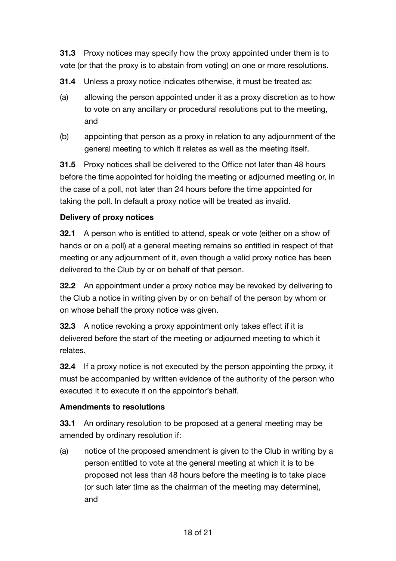**31.3** Proxy notices may specify how the proxy appointed under them is to vote (or that the proxy is to abstain from voting) on one or more resolutions.

**31.4** Unless a proxy notice indicates otherwise, it must be treated as:

- (a) allowing the person appointed under it as a proxy discretion as to how to vote on any ancillary or procedural resolutions put to the meeting, and
- (b) appointing that person as a proxy in relation to any adjournment of the general meeting to which it relates as well as the meeting itself.

**31.5** Proxy notices shall be delivered to the Office not later than 48 hours before the time appointed for holding the meeting or adjourned meeting or, in the case of a poll, not later than 24 hours before the time appointed for taking the poll. In default a proxy notice will be treated as invalid.

# **Delivery of proxy notices**

**32.1** A person who is entitled to attend, speak or vote (either on a show of hands or on a poll) at a general meeting remains so entitled in respect of that meeting or any adjournment of it, even though a valid proxy notice has been delivered to the Club by or on behalf of that person.

**32.2** An appointment under a proxy notice may be revoked by delivering to the Club a notice in writing given by or on behalf of the person by whom or on whose behalf the proxy notice was given.

**32.3** A notice revoking a proxy appointment only takes effect if it is delivered before the start of the meeting or adjourned meeting to which it relates.

**32.4** If a proxy notice is not executed by the person appointing the proxy, it must be accompanied by written evidence of the authority of the person who executed it to execute it on the appointor's behalf.

# **Amendments to resolutions**

**33.1** An ordinary resolution to be proposed at a general meeting may be amended by ordinary resolution if:

(a) notice of the proposed amendment is given to the Club in writing by a person entitled to vote at the general meeting at which it is to be proposed not less than 48 hours before the meeting is to take place (or such later time as the chairman of the meeting may determine), and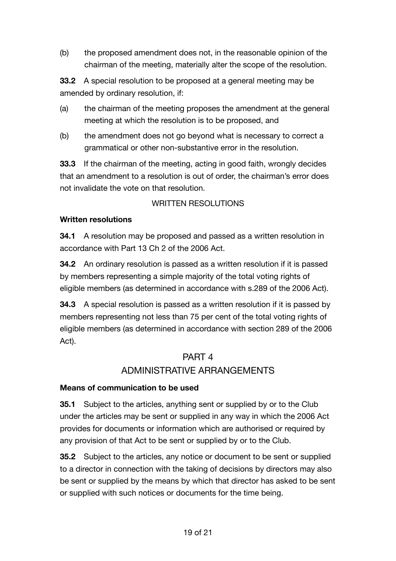(b) the proposed amendment does not, in the reasonable opinion of the chairman of the meeting, materially alter the scope of the resolution.

**33.2** A special resolution to be proposed at a general meeting may be amended by ordinary resolution, if:

- (a) the chairman of the meeting proposes the amendment at the general meeting at which the resolution is to be proposed, and
- (b) the amendment does not go beyond what is necessary to correct a grammatical or other non-substantive error in the resolution.

**33.3** If the chairman of the meeting, acting in good faith, wrongly decides that an amendment to a resolution is out of order, the chairman's error does not invalidate the vote on that resolution.

# WRITTEN RESOLUTIONS

### **Written resolutions**

**34.1** A resolution may be proposed and passed as a written resolution in accordance with Part 13 Ch 2 of the 2006 Act.

**34.2** An ordinary resolution is passed as a written resolution if it is passed by members representing a simple majority of the total voting rights of eligible members (as determined in accordance with s.289 of the 2006 Act).

**34.3** A special resolution is passed as a written resolution if it is passed by members representing not less than 75 per cent of the total voting rights of eligible members (as determined in accordance with section 289 of the 2006 Act).

# PART 4

# ADMINISTRATIVE ARRANGEMENTS

### **Means of communication to be used**

**35.1** Subject to the articles, anything sent or supplied by or to the Club under the articles may be sent or supplied in any way in which the 2006 Act provides for documents or information which are authorised or required by any provision of that Act to be sent or supplied by or to the Club.

**35.2** Subject to the articles, any notice or document to be sent or supplied to a director in connection with the taking of decisions by directors may also be sent or supplied by the means by which that director has asked to be sent or supplied with such notices or documents for the time being.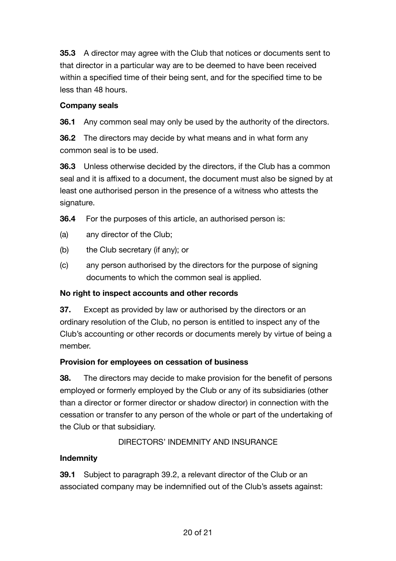**35.3** A director may agree with the Club that notices or documents sent to that director in a particular way are to be deemed to have been received within a specified time of their being sent, and for the specified time to be less than 48 hours.

### **Company seals**

**36.1** Any common seal may only be used by the authority of the directors.

**36.2** The directors may decide by what means and in what form any common seal is to be used.

**36.3** Unless otherwise decided by the directors, if the Club has a common seal and it is affixed to a document, the document must also be signed by at least one authorised person in the presence of a witness who attests the signature.

**36.4** For the purposes of this article, an authorised person is:

- (a) any director of the Club;
- (b) the Club secretary (if any); or
- (c) any person authorised by the directors for the purpose of signing documents to which the common seal is applied.

### **No right to inspect accounts and other records**

**37.** Except as provided by law or authorised by the directors or an ordinary resolution of the Club, no person is entitled to inspect any of the Club's accounting or other records or documents merely by virtue of being a member.

### **Provision for employees on cessation of business**

**38.** The directors may decide to make provision for the benefit of persons employed or formerly employed by the Club or any of its subsidiaries (other than a director or former director or shadow director) in connection with the cessation or transfer to any person of the whole or part of the undertaking of the Club or that subsidiary.

# DIRECTORS' INDEMNITY AND INSURANCE

### **Indemnity**

**39.1** Subject to paragraph 39.2, a relevant director of the Club or an associated company may be indemnified out of the Club's assets against: